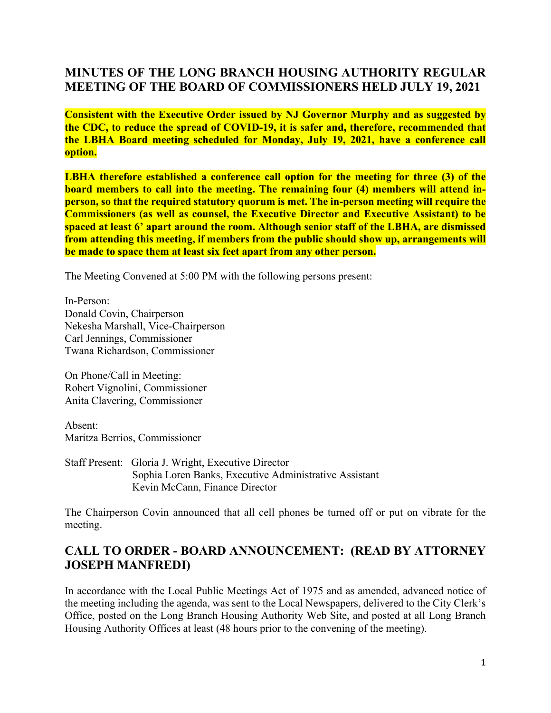# **MINUTES OF THE LONG BRANCH HOUSING AUTHORITY REGULAR MEETING OF THE BOARD OF COMMISSIONERS HELD JULY 19, 2021**

**Consistent with the Executive Order issued by NJ Governor Murphy and as suggested by the CDC, to reduce the spread of COVID-19, it is safer and, therefore, recommended that the LBHA Board meeting scheduled for Monday, July 19, 2021, have a conference call option.**

**LBHA therefore established a conference call option for the meeting for three (3) of the board members to call into the meeting. The remaining four (4) members will attend inperson, so that the required statutory quorum is met. The in-person meeting will require the Commissioners (as well as counsel, the Executive Director and Executive Assistant) to be spaced at least 6' apart around the room. Although senior staff of the LBHA, are dismissed from attending this meeting, if members from the public should show up, arrangements will be made to space them at least six feet apart from any other person.**

The Meeting Convened at 5:00 PM with the following persons present:

In-Person: Donald Covin, Chairperson Nekesha Marshall, Vice-Chairperson Carl Jennings, Commissioner Twana Richardson, Commissioner

On Phone/Call in Meeting: Robert Vignolini, Commissioner Anita Clavering, Commissioner

Absent: Maritza Berrios, Commissioner

Staff Present: Gloria J. Wright, Executive Director Sophia Loren Banks, Executive Administrative Assistant Kevin McCann, Finance Director

The Chairperson Covin announced that all cell phones be turned off or put on vibrate for the meeting.

## **CALL TO ORDER - BOARD ANNOUNCEMENT: (READ BY ATTORNEY JOSEPH MANFREDI)**

In accordance with the Local Public Meetings Act of 1975 and as amended, advanced notice of the meeting including the agenda, was sent to the Local Newspapers, delivered to the City Clerk's Office, posted on the Long Branch Housing Authority Web Site, and posted at all Long Branch Housing Authority Offices at least (48 hours prior to the convening of the meeting).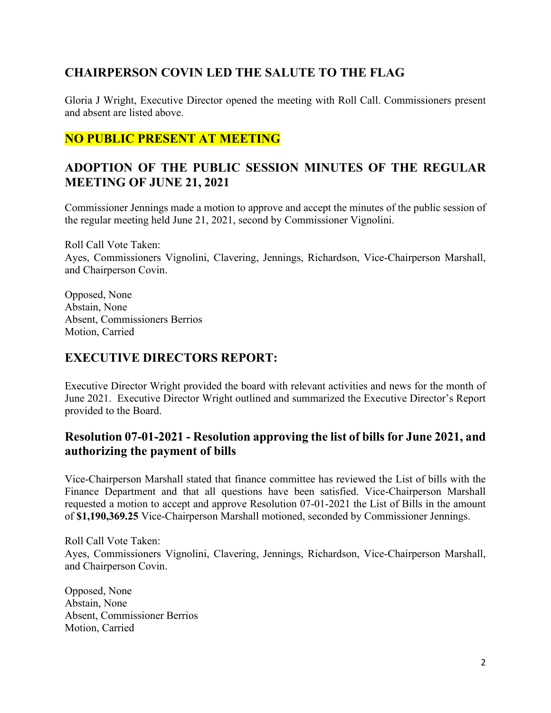# **CHAIRPERSON COVIN LED THE SALUTE TO THE FLAG**

Gloria J Wright, Executive Director opened the meeting with Roll Call. Commissioners present and absent are listed above.

# **NO PUBLIC PRESENT AT MEETING**

## **ADOPTION OF THE PUBLIC SESSION MINUTES OF THE REGULAR MEETING OF JUNE 21, 2021**

Commissioner Jennings made a motion to approve and accept the minutes of the public session of the regular meeting held June 21, 2021, second by Commissioner Vignolini.

Roll Call Vote Taken: Ayes, Commissioners Vignolini, Clavering, Jennings, Richardson, Vice-Chairperson Marshall, and Chairperson Covin.

Opposed, None Abstain, None Absent, Commissioners Berrios Motion, Carried

# **EXECUTIVE DIRECTORS REPORT:**

Executive Director Wright provided the board with relevant activities and news for the month of June 2021. Executive Director Wright outlined and summarized the Executive Director's Report provided to the Board.

#### **Resolution 07-01-2021 - Resolution approving the list of bills for June 2021, and authorizing the payment of bills**

Vice-Chairperson Marshall stated that finance committee has reviewed the List of bills with the Finance Department and that all questions have been satisfied. Vice-Chairperson Marshall requested a motion to accept and approve Resolution 07-01-2021 the List of Bills in the amount of **\$1,190,369.25** Vice-Chairperson Marshall motioned, seconded by Commissioner Jennings.

Roll Call Vote Taken: Ayes, Commissioners Vignolini, Clavering, Jennings, Richardson, Vice-Chairperson Marshall, and Chairperson Covin.

Opposed, None Abstain, None Absent, Commissioner Berrios Motion, Carried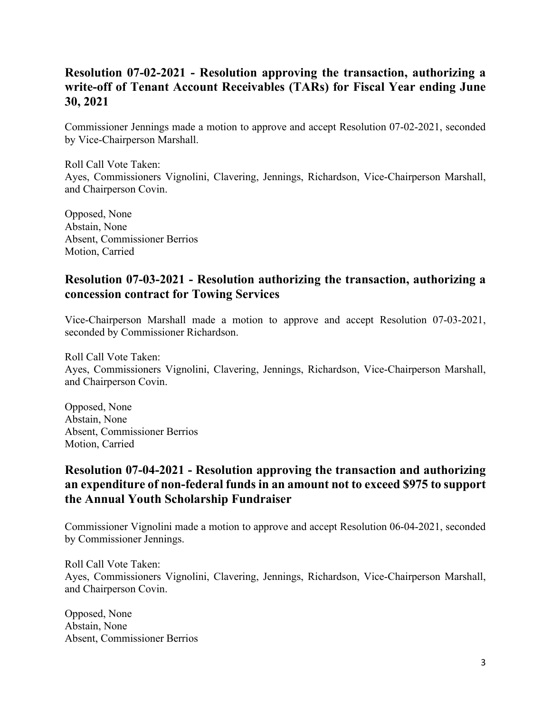## **Resolution 07-02-2021 - Resolution approving the transaction, authorizing a write-off of Tenant Account Receivables (TARs) for Fiscal Year ending June 30, 2021**

Commissioner Jennings made a motion to approve and accept Resolution 07-02-2021, seconded by Vice-Chairperson Marshall.

Roll Call Vote Taken: Ayes, Commissioners Vignolini, Clavering, Jennings, Richardson, Vice-Chairperson Marshall, and Chairperson Covin.

Opposed, None Abstain, None Absent, Commissioner Berrios Motion, Carried

#### **Resolution 07-03-2021 - Resolution authorizing the transaction, authorizing a concession contract for Towing Services**

Vice-Chairperson Marshall made a motion to approve and accept Resolution 07-03-2021, seconded by Commissioner Richardson.

Roll Call Vote Taken: Ayes, Commissioners Vignolini, Clavering, Jennings, Richardson, Vice-Chairperson Marshall, and Chairperson Covin.

Opposed, None Abstain, None Absent, Commissioner Berrios Motion, Carried

## **Resolution 07-04-2021 - Resolution approving the transaction and authorizing an expenditure of non-federal funds in an amount not to exceed \$975 to support the Annual Youth Scholarship Fundraiser**

Commissioner Vignolini made a motion to approve and accept Resolution 06-04-2021, seconded by Commissioner Jennings.

Roll Call Vote Taken: Ayes, Commissioners Vignolini, Clavering, Jennings, Richardson, Vice-Chairperson Marshall, and Chairperson Covin.

Opposed, None Abstain, None Absent, Commissioner Berrios